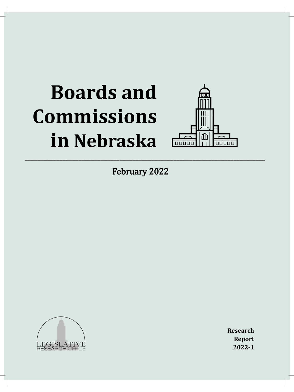# **Boards and Commissions in Nebraska**



February 2022

**\_\_\_\_\_\_\_\_\_\_\_\_\_\_\_\_\_\_\_\_\_\_\_\_\_\_\_\_\_\_\_\_\_\_\_\_\_\_\_\_\_\_\_\_\_\_\_\_\_\_\_\_\_\_\_\_\_\_\_\_\_\_\_\_\_\_\_\_\_\_\_\_\_\_\_\_**



**Research Report 2022-1**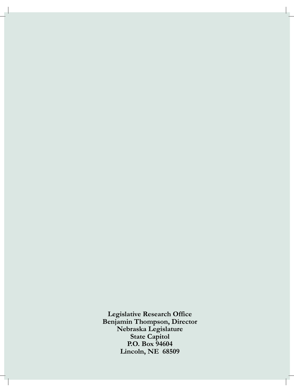**Legislative Research Office Benjamin Thompson, Director Nebraska Legislature State Capitol P.O. Box 94604 Lincoln, NE 68509**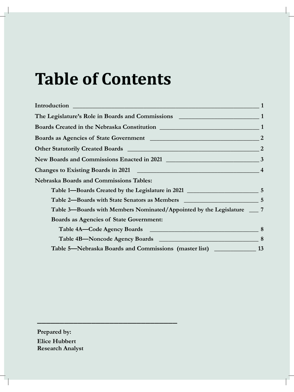## **Table of Contents**

| Introduction                                                                      |                |
|-----------------------------------------------------------------------------------|----------------|
| The Legislature's Role in Boards and Commissions _______________________________  |                |
|                                                                                   |                |
| Boards as Agencies of State Government                                            | 2              |
|                                                                                   | 2              |
| New Boards and Commissions Enacted in 2021                                        |                |
| Changes to Existing Boards in 2021                                                | $\overline{4}$ |
| <b>Nebraska Boards and Commissions Tables:</b>                                    |                |
| Table 1—Boards Created by the Legislature in 2021                                 | $\overline{5}$ |
|                                                                                   |                |
| Table 3—Boards with Members Nominated/Appointed by the Legislature __             | 7              |
| <b>Boards as Agencies of State Government:</b>                                    |                |
|                                                                                   |                |
|                                                                                   | 8              |
| Table 5—Nebraska Boards and Commissions (master list) ___________________________ | 13             |

**Prepared by: Elice Hubbert Research Analyst**

\_\_\_\_\_\_\_\_\_\_\_\_\_\_\_\_\_\_\_\_\_\_\_\_\_\_\_\_\_\_\_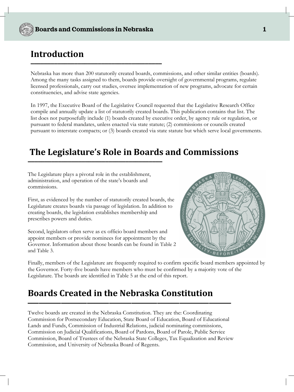#### **Introduction \_\_\_\_\_\_\_\_\_\_\_\_\_\_\_\_\_\_\_\_\_\_\_\_\_\_\_\_\_\_\_\_\_\_\_\_\_\_\_**

Nebraska has more than 200 statutorily created boards, commissions, and other similar entities (boards). Among the many tasks assigned to them, boards provide oversight of governmental programs, regulate licensed professionals, carry out studies, oversee implementation of new programs, advocate for certain constituencies, and advise state agencies.

In 1997, the Executive Board of the Legislative Council requested that the Legislative Research Office compile and annually update a list of statutorily created boards. This publication contains that list. The list does not purposefully include (1) boards created by executive order, by agency rule or regulation, or pursuant to federal mandates, unless enacted via state statute; (2) commissions or councils created pursuant to interstate compacts; or (3) boards created via state statute but which serve local governments.

#### The **Degistature** 5 Role in Bourna **The Legislature's Role in Boards and Commissions**

The Legislature plays a pivotal role in the establishment, administration, and operation of the state's boards and commissions.

First, as evidenced by the number of statutorily created boards, the Legislature creates boards via passage of legislation. In addition to creating boards, the legislation establishes membership and prescribes powers and duties.

Second, legislators often serve as ex officio board members and appoint members or provide nominees for appointment by the Governor. Information about those boards can be found in Table 2 and Table 3.



Finally, members of the Legislature are frequently required to confirm specific board members appointed by the Governor. Forty-five boards have members who must be confirmed by a majority vote of the Legislature. The boards are identified in Table 5 at the end of this report.

#### **Boards Created in the Nebraska Constitution Doarus Created in the Nebraska Constitution**

Twelve boards are created in the Nebraska Constitution. They are the: Coordinating Commission for Postsecondary Education, State Board of Education, Board of Educational Lands and Funds, Commission of Industrial Relations, judicial nominating commissions, Commission on Judicial Qualifications, Board of Pardons, Board of Parole, Public Service Commission, Board of Trustees of the Nebraska State Colleges, Tax Equalization and Review Commission, and University of Nebraska Board of Regents.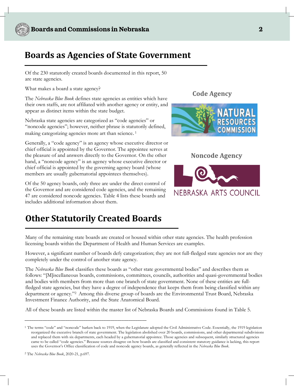

#### **Boards as Agencies of State Government**

Of the 230 statutorily created boards documented in this report, 50 are state agencies.

What makes a board a state agency?

The *Nebraska Blue Book* defines state agencies as entities which have their own staffs, are not affiliated with another agency or entity, and appear as distinct items within the state budget.

Nebraska state agencies are categorized as "code agencies" or "noncode agencies"; however, neither phrase is statutorily defined, making categorizing agencies more art than science. 1

Generally, a "code agency" is an agency whose executive director or chief official is appointed by the Governor. The appointee serves at the pleasure of and answers directly to the Governor. On the other hand, a "noncode agency" is an agency whose executive director or chief official is appointed by the governing agency board (whose members are usually gubernatorial appointees themselves).

Of the 50 agency boards, only three are under the direct control of the Governor and are considered code agencies, and the remaining 47 are considered noncode agencies. Table 4 lists these boards and includes additional information about them.

#### **Code Agency**



#### **Noncode Agency**



## **Other Statutorily Created Boards**

Many of the remaining state boards are created or housed within other state agencies. The health profession licensing boards within the Department of Health and Human Services are examples.

However, a significant number of boards defy categorization; they are not full-fledged state agencies nor are they completely under the control of another state agency.

The *Nebraska Blue Book* classifies these boards as "other state governmental bodies" and describes them as follows: "[M]iscellaneous boards, commissions, committees, councils, authorities and quasi-governmental bodies and bodies with members from more than one branch of state government. None of these entities are fullfledged state agencies, but they have a degree of independence that keeps them from being classified within any department or agency."2 Among this diverse group of boards are the Environmental Trust Board, Nebraska Investment Finance Authority, and the State Anatomical Board.

All of these boards are listed within the master list of Nebraska Boards and Commissions found in Table 5.

2 The *Nebraska Blue Book*, 2020-21, p.697.

<sup>1</sup> The terms "code" and "noncode" harken back to 1919, when the Legislature adopted the Civil Administrative Code. Essentially, the 1919 legislation reorganized the executive branch of state government. The legislation abolished over 20 boards, commissions, and other departmental subdivisions and replaced them with six departments, each headed by a gubernatorial appointee. Those agencies and subsequent, similarly structured agencies came to be called "code agencies." Because sources disagree on how boards are classified and consistent statutory guidance is lacking, this report uses the Governor's Office classification of code and noncode agency boards, as generally reflected in the *Nebraska Blue Book*.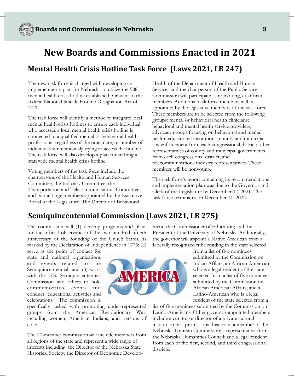### **New Boards and Commissions Enacted in 2021**

#### **Mental Health Crisis Hotline Task Force (Laws 2021, LB 247)**

The new task force is charged with developing an implementation plan for Nebraska to utilize the 988 mental health crisis hotline established pursuant to the federal National Suicide Hotline Designation Act of 2020.

The task force will identify a method to integrate local mental health crisis hotlines to ensure each individual who accesses a local mental health crisis hotline is connected to a qualified mental or behavioral health professional regardless of the time, date, or number of individuals simultaneously trying to access the hotline. The task force will also develop a plan for staffing a statewide mental health crisis hotline.

Voting members of the task force include the chairpersons of the Health and Human Services Committee, the Judiciary Committee, the Transportation and Telecommunications Committee, and two-at large members appointed by the Executive Board of the Legislature. The Director of Behavioral

Health of the Department of Health and Human Services and the chairperson of the Public Service Commission will participate as nonvoting, ex officio members. Additional task force members will be appointed by the legislative members of the task force. These members are to be selected from the following groups: mental or behavioral health clinicians; behavioral and mental health service providers; advocacy groups focusing on behavioral and mental health; educational institutions; county and municipal law enforcement from each congressional district; other representatives of county and municipal governments from each congressional district; and telecommunications industry representatives. These members will be nonvoting.

The task force's report containing its recommendations and implementation plan was due to the Governor and Clerk of the Legislature by December 17, 2021. The task force terminates on December 31, 2022.

#### **Semiquincentennial Commission (Laws 2021, LB 275)**

**AMBRIOA** 

The commission will (1) develop programs and plans for the official observance of the two hundred fiftieth anniversary of the founding of the United States, as marked by the Declaration of Independence in 1776; (2)

serve as the point of contact for state and national organizations and events related to the Semiquincentennial; and (3) work with the U.S. Semiquincentennial Commission and others to hold commemorative events and conduct educational activities and celebrations. The commission is

specifically tasked with promoting under-represented groups from the American Revolutionary War, including women, American Indians, and persons of color.

The 17-member commission will include members from all regions of the state and represent a wide range of interests including: the Director of the Nebraska State Historical Society; the Director of Economic Develop-



submitted by the Commission on Indian Affairs; an African American who is a legal resident of the state selected from a list of five nominees submitted by the Commission on African American Affairs; and a Latino-American who is a legal resident of the state selected from a

list of five nominees submitted by the Commission on Latino-Americans. Other governor-appointed members include a curator or director of a private cultural institution or a professional historian; a member of the Nebraska Tourism Commission; a representative from the Nebraska Humanities Council; and a legal resident from each of the first, second, and third congressional districts.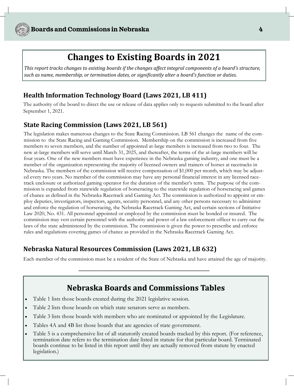### **Changes to Existing Boards in 2021**

*This report tracks changes to existing boards if the changes affect integral components of a board's structure, such as name, membership, or termination dates, or significantly alter a board's function or duties.* 

#### **Health Information Technology Board (Laws 2021, LB 411)**

The authority of the board to direct the use or release of data applies only to requests submitted to the board after September 1, 2021.

#### **State Racing Commission (Laws 2021, LB 561)**

The legislation makes numerous changes to the State Racing Commission. LB 561 changes the name of the commission to the State Racing and Gaming Commission. Membership on the commission is increased from five members to seven members, and the number of appointed at-large members is increased from two to four. The new at-large members will serve until March 31, 2025, and thereafter, the terms of the at-large members will be four years. One of the new members must have experience in the Nebraska gaming industry, and one must be a member of the organization representing the majority of licensed owners and trainers of horses at racetracks in Nebraska. The members of the commission will receive compensation of \$1,000 per month, which may be adjusted every two years. No member of the commission may have any personal financial interest in any licensed racetrack enclosure or authorized gaming operator for the duration of the member's term. The purpose of the commission is expanded from statewide regulation of horseracing to the statewide regulation of horseracing and games of chance as defined in the Nebraska Racetrack and Gaming Act. The commission is authorized to appoint or employ deputies, investigators, inspectors, agents, security personnel, and any other persons necessary to administer and enforce the regulation of horseracing, the Nebraska Racetrack Gaming Act, and certain sections of Initiative Law 2020, No. 431. All personnel appointed or employed by the commission must be bonded or insured. The commission may vest certain personnel with the authority and power of a law enforcement officer to carry out the laws of the state administered by the commission. The commission is given the power to prescribe and enforce rules and regulations covering games of chance as provided in the Nebraska Racetrack Gaming Act.

#### **Nebraska Natural Resources Commission (Laws 2021, LB 632)**

Each member of the commission must be a resident of the State of Nebraska and have attained the age of majority.

**\_\_\_\_\_\_\_\_\_\_\_\_\_\_\_\_\_\_\_\_\_\_\_\_\_\_\_\_\_\_\_\_\_\_\_\_\_\_\_\_\_\_\_\_\_\_\_\_\_\_\_\_\_\_\_\_\_\_**

#### **Nebraska Boards and Commissions Tables**

- Table 1 lists those boards created during the 2021 legislative session.
- Table 2 lists those boards on which state senators serve as members.
- Table 3 lists those boards with members who are nominated or appointed by the Legislature.
- Tables 4A and 4B list those boards that are agencies of state government.
- Table 5 is a comprehensive list of all statutorily created boards tracked by this report. (For reference, termination date refers to the termination date listed in statute for that particular board. Terminated boards continue to be listed in this report until they are actually removed from statute by enacted legislation.)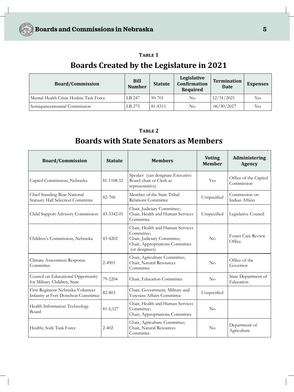#### **Table 1**

#### **Boards Created by the Legislature in 2021**

| <b>Board/Commission</b>                 | <b>Bill</b><br><b>Number</b> | <b>Statute</b> | Legislative<br><b>Confirmation</b><br>Required | <b>Termination</b><br>Date | <b>Expenses</b> |
|-----------------------------------------|------------------------------|----------------|------------------------------------------------|----------------------------|-----------------|
| Mental Health Crisis Hotline Task Force | <b>LB</b> 247                | 50-701         | No                                             | 12/31/2021                 | <b>Yes</b>      |
| Semiquincentennial Commission           | LB 275                       | 81-8311        | No                                             | 06/30/2027                 | <b>Yes</b>      |

#### **Table 2**

#### **Boards with State Senators as Members**

| <b>Board/Commission</b>                                                  | <b>Statute</b> | <b>Members</b>                                                                                                                     | <b>Voting</b><br><b>Member</b> | Administering<br><b>Agency</b>      |
|--------------------------------------------------------------------------|----------------|------------------------------------------------------------------------------------------------------------------------------------|--------------------------------|-------------------------------------|
| Capitol Commission, Nebraska                                             | 81-1108.32     | Speaker (can designate Executive<br>Board chair or Clerk as<br>representative)                                                     | Yes                            | Office of the Capitol<br>Commission |
| Chief Standing Bear National<br>Statuary Hall Selection Committee        | 82-706         | Member of the State Tribal<br><b>Relations Committee</b>                                                                           | Unspecified                    | Commission on<br>Indian Affairs     |
| Child Support Advisory Commission                                        | 43-3342.05     | Chair, Judiciary Committee;<br>Chair, Health and Human Services<br>Committee                                                       | Unspecified                    | Legislative Council                 |
| Children's Commission, Nebraska                                          | $43 - 4202$    | Chair, Health and Human Services<br>Committee;<br>Chair, Judiciary Committee;<br>Chair, Appropriations Committee<br>(or designees) | $\rm No$                       | <b>Foster Care Review</b><br>Office |
| Climate Assessment Response<br>Committee                                 | 2-4901         | Chair, Agriculture Committee;<br>Chair, Natural Resources<br>Committee                                                             | $\rm No$                       | Office of the<br>Governor           |
| Council on Educational Opportunity<br>for Military Children, State       | 79-2204        | Chair, Education Committee                                                                                                         | $\rm No$                       | State Department of<br>Education    |
| First Regiment Nebraska Volunteer<br>Infantry at Fort Donelson Committee | 82-803         | Chair, Government, Military and<br>Veterans Affairs Committee                                                                      | Unspecified                    |                                     |
| Health Information Technology<br>Board                                   | 81-6,127       | Chair, Health and Human Services<br>Committee;<br>Chair, Appropriations Committee                                                  | No                             |                                     |
| Healthy Soils Task Force                                                 | $2 - 402$      | Chair, Agriculture Committee;<br>Chair, Natural Resources<br>Committee                                                             | $\overline{N}_{O}$             | Department of<br>Agriculture        |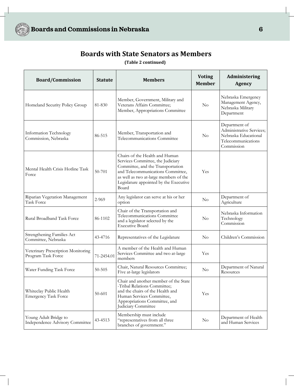

#### **Boards with State Senators as Members**

**(Table 2 continued)**

| <b>Board/Commission</b>                                  | <b>Statute</b> | <b>Members</b>                                                                                                                                                                                                                             | <b>Voting</b><br><b>Member</b> | Administering<br><b>Agency</b>                                                                        |
|----------------------------------------------------------|----------------|--------------------------------------------------------------------------------------------------------------------------------------------------------------------------------------------------------------------------------------------|--------------------------------|-------------------------------------------------------------------------------------------------------|
| Homeland Security Policy Group                           | 81-830         | Member, Government, Military and<br>Veterans Affairs Committee;<br>Member, Appropriations Committee                                                                                                                                        | No                             | Nebraska Emergency<br>Management Agency,<br>Nebraska Military<br>Department                           |
| Information Technology<br>Commission, Nebraska           | 86-515         | Member, Transportation and<br>Telecommunications Committee                                                                                                                                                                                 | $\rm No$                       | Department of<br>Administrative Services;<br>Nebraska Educational<br>Telecommunications<br>Commission |
| Mental Health Crisis Hotline Task<br>Force               | 50-701         | Chairs of the Health and Human<br>Services Committee, the Judiciary<br>Committee, and the Transportation<br>and Telecommunications Committee,<br>as well as two at-large members of the<br>Legislature appointed by the Executive<br>Board | Yes                            |                                                                                                       |
| Riparian Vegetation Management<br>Task Force             | 2-969          | Any legislator can serve at his or her<br>option                                                                                                                                                                                           | No                             | Department of<br>Agriculture                                                                          |
| Rural Broadband Task Force                               | 86-1102        | Chair of the Transportation and<br>Telecommunications Committee<br>and a legislator selected by the<br><b>Executive Board</b>                                                                                                              | No                             | Nebraska Information<br>Technology<br>Commission                                                      |
| Strengthening Families Act<br>Committee, Nebraska        | 43-4716        | Representatives of the Legislature                                                                                                                                                                                                         | $\rm No$                       | Children's Commission                                                                                 |
| Veterinary Prescription Monitoring<br>Program Task Force | 71-2454.01     | A member of the Health and Human<br>Services Committee and two at-large<br>members                                                                                                                                                         | Yes                            |                                                                                                       |
| Water Funding Task Force                                 | $50 - 505$     | Chair, Natural Resources Committee;<br>Five at-large legislators                                                                                                                                                                           | $\rm No$                       | Department of Natural<br>Resources                                                                    |
| Whiteclay Public Health<br><b>Emergency Task Force</b>   | 50-601         | Chair and another member of the State<br>-Tribal Relations Committee;<br>and the chairs of the Health and<br>Human Services Committee,<br>Appropriations Committee, and<br>Judiciary Committee                                             | Yes                            |                                                                                                       |
| Young Adult Bridge to<br>Independence Advisory Committee | 43-4513        | Membership must include<br>"representatives from all three<br>branches of government."                                                                                                                                                     | $\rm No$                       | Department of Health<br>and Human Services                                                            |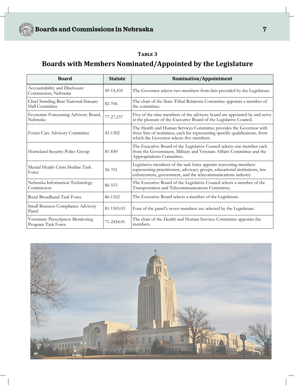

**Table 3 Boards with Members Nominated/Appointed by the Legislature**

| <b>Board</b>                                             | <b>Statute</b> | <b>Nomination/Appointment</b>                                                                                                                                                                                  |
|----------------------------------------------------------|----------------|----------------------------------------------------------------------------------------------------------------------------------------------------------------------------------------------------------------|
| Accountability and Disclosure<br>Commission, Nebraska    | 49-14,105      | The Governor selects two members from lists provided by the Legislature.                                                                                                                                       |
| Chief Standing Bear National Statuary<br>Hall Committee  | 82-706         | The chair of the State-Tribal Relations Committee appoints a member of<br>the committee.                                                                                                                       |
| Economic Forecasting Advisory Board,<br>Nebraska         | 77-27,157      | Five of the nine members of the advisory board are appointed by and serve<br>at the pleasure of the Executive Board of the Legislative Council.                                                                |
| Foster Care Advisory Committee                           | 43-1302        | The Health and Human Services Committee provides the Governor with<br>three lists of nominees, each list representing specific qualifications, from<br>which the Governor selects five members.                |
| Homeland Security Policy Group                           | 81-830         | The Executive Board of the Legislative Council selects one member each<br>from the Government, Military and Veterans Affairs Committee and the<br>Appropriations Committee.                                    |
| Mental Health Crisis Hotline Task<br>Force               | 50-701         | Legislative members of the task force appoint nonvoting members<br>representing practitioners, advocacy groups, educational institutions, law<br>enforcement, government, and the telecommunications industry. |
| Nebraska Information Technology<br>Commission            | 86-515         | The Executive Board of the Legislative Council selects a member of the<br>Transportation and Telecommunications Committee.                                                                                     |
| Rural Broadband Task Force                               | 86-1102        | The Executive Board selects a member of the Legislature.                                                                                                                                                       |
| Small Business Compliance Advisory<br>Panel              | 81-1505.03     | Four of the panel's seven members are selected by the Legislature.                                                                                                                                             |
| Veterinary Prescription Monitoring<br>Program Task Force | 71-2454.01     | The chair of the Health and Human Services Committee appoints the<br>members.                                                                                                                                  |

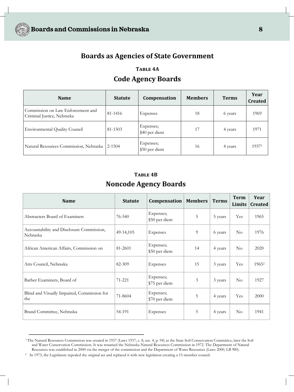

#### **Boards as Agencies of State Government**

#### **Table 4A**

#### **Code Agency Boards**

| <b>Name</b>                                                     | <b>Statute</b> | Compensation               | <b>Members</b> | <b>Terms</b> | Year<br><b>Created</b> |
|-----------------------------------------------------------------|----------------|----------------------------|----------------|--------------|------------------------|
| Commission on Law Enforcement and<br>Criminal Justice, Nebraska | 81-1416        | Expenses                   | 18             | 6 years      | 1969                   |
| <b>Environmental Quality Council</b>                            | 81-1503        | Expenses;<br>\$40 per diem | 17             | 4 years      | 1971                   |
| Natural Resources Commission, Nebraska                          | $2 - 1504$     | Expenses;<br>\$50 per diem | 16             | 4 years      | 19371                  |

#### **Table 4B Noncode Agency Boards**

| <b>Name</b>                                           | <b>Statute</b> | Compensation               | <b>Members</b> | <b>Terms</b> | <b>Term</b><br>Limits | Year<br><b>Created</b> |
|-------------------------------------------------------|----------------|----------------------------|----------------|--------------|-----------------------|------------------------|
| Abstracters Board of Examiners                        | 76-540         | Expenses;<br>\$50 per diem | 5              | 5 years      | Yes                   | 1965                   |
| Accountability and Disclosure Commission,<br>Nebraska | 49-14,105      | Expenses                   | 9              | 6 years      | No                    | 1976                   |
| African American Affairs, Commission on               | 81-2601        | Expenses;<br>\$50 per diem | 14             | 4 years      | $\rm No$              | 2020                   |
| Arts Council, Nebraska                                | 82-309         | Expenses                   | 15             | 3 years      | Yes                   | 1965 <sup>2</sup>      |
| Barber Examiners, Board of                            | 71-221         | Expenses;<br>\$75 per diem | 3              | 3 years      | $\rm No$              | 1927                   |
| Blind and Visually Impaired, Commission for<br>the    | 71-8604        | Expenses;<br>\$70 per diem | 5              | 4 years      | Yes                   | 2000                   |
| Brand Committee, Nebraska                             | 54-191         | Expenses                   | 5              | 4 years      | $\rm No$              | 1941                   |

<sup>&</sup>lt;sup>1</sup>The Natural Resources Commission was created in 1937 (Laws 1937, c. 8, sec. 4, p. 94) as the State Soil Conservation Committee, later the Soil and Water Conservation Commission. It was renamed the Nebraska Natural Resources Commission in 1972. The Department of Natural Resources was established in 2000 via the merger of the commission and the Department of Water Resources (Laws 2000, LB 900).

<sup>2</sup> In 1973, the Legislature repealed the original act and replaced it with new legislation creating a 15-member council.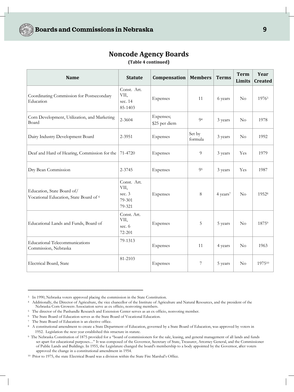

**(Table 4 continued)**

| <b>Name</b>                                                          | <b>Statute</b>                                    | Compensation               | <b>Members</b>    | <b>Terms</b>         | <b>Term</b><br><b>Limits</b> | Year<br><b>Created</b> |
|----------------------------------------------------------------------|---------------------------------------------------|----------------------------|-------------------|----------------------|------------------------------|------------------------|
| Coordinating Commission for Postsecondary<br>Education               | Const. Art.<br>VII,<br>sec. 14<br>85-1403         | Expenses                   | 11                | 6 years              | No                           | 19763                  |
| Corn Development, Utilization, and Marketing<br>Board                | 2-3604                                            | Expenses;<br>\$25 per diem | Q <sub>4</sub>    | 3 years              | $\rm No$                     | 1978                   |
| Dairy Industry Development Board                                     | 2-3951                                            | Expenses                   | Set by<br>formula | 3 years              | No                           | 1992                   |
| Deaf and Hard of Hearing, Commission for the                         | 71-4720                                           | Expenses                   | 9                 | 3 years              | Yes                          | 1979                   |
| Dry Bean Commission                                                  | 2-3745                                            | Expenses                   | Q <sub>5</sub>    | 3 years              | Yes                          | 1987                   |
| Education, State Board of/<br>Vocational Education, State Board of 6 | Const. Art.<br>VII,<br>sec. 3<br>79-301<br>79-321 | Expenses                   | 8                 | 4 years <sup>7</sup> | No                           | 19528                  |
| Educational Lands and Funds, Board of                                | Const. Art.<br>VII,<br>sec. 6<br>72-201           | Expenses                   | 5                 | 5 years              | No                           | 18759                  |
| <b>Educational Telecommunications</b><br>Commission, Nebraska        | 79-1313                                           | Expenses                   | 11                | 4 years              | $\rm No$                     | 1963                   |
| Electrical Board, State                                              | 81-2103                                           | Expenses                   | 7                 | 5 years              | $\rm No$                     | 197510                 |

<sup>3</sup> In 1990, Nebraska voters approved placing the commission in the State Constitution.

<sup>4</sup> Additionally, the Director of Agriculture, the vice chancellor of the Institute of Agriculture and Natural Resources, and the president of the Nebraska Corn Growers Association serve as ex officio, nonvoting members.

<sup>5</sup> The director of the Panhandle Research and Extension Center serves as an ex officio, nonvoting member.

<sup>6</sup> The State Board of Education serves as the State Board of Vocational Education.

<sup>7</sup> The State Board of Education is an elective office.

<sup>8</sup> A constitutional amendment to create a State Department of Education, governed by a State Board of Education, was approved by voters in 1952. Legislation the next year established this structure in statute.

<sup>9</sup>The Nebraska Constitution of 1875 provided for a "board of commissioners for the sale, leasing, and general management of all lands and funds set apart for educational purposes...." It was composed of the Governor, Secretary of State, Treasurer, Attorney General, and the Commissioner of Public Lands and Buildings. In 1955, the Legislature changed the board's membership to a body appointed by the Governor, after voters approved the change in a constitutional amendment in 1954.

<sup>&</sup>lt;sup>10</sup> Prior to 1975, the state Electrical Board was a division within the State Fire Marshal's Office.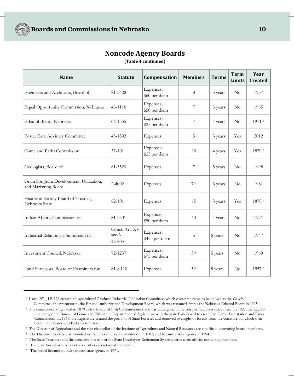**(Table 4 continued)**

| <b>Name</b>                                                    | <b>Statute</b>                      | <b>Compensation</b>         | <b>Members</b> | <b>Terms</b> | <b>Term</b><br><b>Limits</b> | Year<br><b>Created</b> |
|----------------------------------------------------------------|-------------------------------------|-----------------------------|----------------|--------------|------------------------------|------------------------|
| Engineers and Architects, Board of                             | 81-3428                             | Expenses;<br>\$60 per diem  | 8              | 5 years      | $\rm No$                     | 1937                   |
| Equal Opportunity Commission, Nebraska                         | 48-1116                             | Expenses;<br>\$50 per diem  | 7              | 3 years      | $\rm No$                     | 1965                   |
| Ethanol Board, Nebraska                                        | 66-1335                             | Expenses;<br>\$25 per diem  | 7              | 4 years      | N <sub>o</sub>               | 197111                 |
| Foster Care Advisory Committee                                 | 43-1302                             | Expenses                    | 5              | 3 years      | Yes                          | 2012                   |
| Game and Parks Commission                                      | 37-101                              | Expenses;<br>\$35 per diem  | 10             | 4 years      | Yes                          | 187912                 |
| Geologists, Board of                                           | 81-3520                             | Expenses                    | 7              | 5 years      | $\rm No$                     | 1998                   |
| Grain Sorghum Development, Utilization,<br>and Marketing Board | 2-4002                              | Expenses                    | 713            | 3 years      | $\rm No$                     | 1981                   |
| Historical Society Board of Trustees,<br>Nebraska State        | 82-101                              | Expenses                    | 15             | 3 years      | Yes                          | 187814                 |
| Indian Affairs, Commission on                                  | 81-2501                             | Expenses;<br>\$50 per diem  | 14             | 4 years      | $\rm No$                     | 1971                   |
| Industrial Relations, Commission of                            | Const. Art. XV,<br>sec. 9<br>48-803 | Expenses;<br>\$475 per diem | 5              | 6 years      | No                           | 1947                   |
| Investment Council, Nebraska                                   | 72-1237                             | Expenses;<br>\$75 per diem  | 515            | 5 years      | $\rm No$                     | 1969                   |
| Land Surveyors, Board of Examiners for                         | 81-8,110                            | Expenses                    | 516            | 5 years      | No                           | 195717                 |

<sup>11</sup>Laws 1971, LB 776 created an Agricultural Products Industrial Utilization Committee, which over time came to be known as the Gasohol Committee, the precursor to the Ethanol authority and Development Board, which was renamed simply the Nebraska Ethanol Board in 1993.

<sup>12</sup> The commission originated in 1879 as the Board of Fish Commissioners and has undergone numerous permutations since then. In 1929, the Legislature merged the Bureau of Game and Fish in the Department of Agriculture with the state Park Board to create the Game, Forestation and Parks Commission. In 1967, the Legislature created the position of State Forester and removed oversight of forests from the commission, which then became the Game and Parks Commission.

<sup>&</sup>lt;sup>13</sup> The Director of Agriculture and the vice chancellor of the Institute of Agriculture and Natural Resources are ex officio, nonvoting board members.

<sup>14</sup>The Historical Society was founded in 1878, became a state institution in 1883, and became a state agency in 1994.

<sup>&</sup>lt;sup>15</sup> The State Treasurer and the executive director of the State Employees Retirement Systems serve as ex officio, nonvoting members.

<sup>16</sup> The State Surveyor serves as the ex officio secretary of the board.

<sup>&</sup>lt;sup>17</sup> The board became an independent state agency in 1971.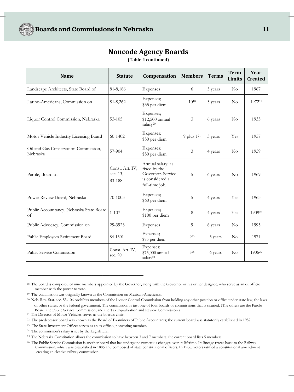**(Table 4 continued)**

| <b>Name</b>                                      | <b>Statute</b>                        | Compensation                                                                                | <b>Members</b> | <b>Terms</b> | <b>Term</b><br>Limits | Year<br><b>Created</b> |
|--------------------------------------------------|---------------------------------------|---------------------------------------------------------------------------------------------|----------------|--------------|-----------------------|------------------------|
| Landscape Architects, State Board of             | 81-8,186                              | Expenses                                                                                    | 6              | 5 years      | $\rm No$              | 1967                   |
| Latino-Americans, Commission on                  | 81-8,262                              | Expenses;<br>\$35 per diem                                                                  | $10^{18}$      | 3 years      | $\rm No$              | 197219                 |
| Liquor Control Commission, Nebraska              | 53-105                                | Expenses;<br>\$12,500 annual<br>salary <sup>20</sup>                                        | $\mathfrak{Z}$ | 6 years      | $\rm No$              | 1935                   |
| Motor Vehicle Industry Licensing Board           | 60-1402                               | Expenses;<br>\$50 per diem                                                                  | 9 plus 121     | 3 years      | Yes                   | 1957                   |
| Oil and Gas Conservation Commission,<br>Nebraska | 57-904                                | Expenses;<br>\$50 per diem                                                                  | 3              | 4 years      | $\rm No$              | 1959                   |
| Parole, Board of                                 | Const. Art. IV,<br>sec. 13,<br>83-188 | Annual salary, as<br>fixed by the<br>Governor. Service<br>is considered a<br>full-time job. | 5              | 6 years      | $\rm No$              | 1969                   |
| Power Review Board, Nebraska                     | 70-1003                               | Expenses;<br>\$60 per diem                                                                  | 5              | 4 years      | Yes                   | 1963                   |
| Public Accountancy, Nebraska State Board<br>of   | $1 - 107$                             | Expenses;<br>\$100 per diem                                                                 | 8              | 4 years      | Yes                   | 190922                 |
| Public Advocacy, Commission on                   | 29-3923                               | Expenses                                                                                    | 9              | 6 years      | $\rm No$              | 1995                   |
| Public Employees Retirement Board                | 84-1501                               | Expenses;<br>\$75 per diem                                                                  | Q23            | 5 years      | No                    | 1971                   |
| Public Service Commission                        | Const. Art. IV,<br>sec. 20            | Expenses;<br>\$75,000 annual<br>salary <sup>24</sup>                                        | 525            | 6 years      | $\rm No$              | 190626                 |

<sup>18</sup> The board is composed of nine members appointed by the Governor, along with the Governor or his or her designee, who serve as an ex officio member with the power to vote.

<sup>19</sup> The commission was originally known as the Commission on Mexican-Americans.

<sup>20</sup> Neb. Rev. Stat. sec. 53-106 prohibits members of the Liquor Control Commission from holding any other position or office under state law, the laws of other states, or the federal government. The commission is just one of four boards or commissions that is salaried. (The others are the Parole Board, the Public Service Commission, and the Tax Equalization and Review Commission.)

<sup>21</sup>The Director of Motor Vehicles serves as the board's chair.

<sup>23</sup> The State Investment Officer serves as an ex officio, nonvoting member.

<sup>&</sup>lt;sup>22</sup> The predecessor board was known as the Board of Examiners of Public Accountants; the current board was statutorily established in 1957.

<sup>&</sup>lt;sup>24</sup> The commission's salary is set by the Legislature.

<sup>25</sup> The Nebraska Constitution allows the commission to have between 3 and 7 members; the current board lists 5 members.

<sup>&</sup>lt;sup>26</sup> The Public Service Commission is another board that has undergone numerous changes over its lifetime. Its lineage traces back to the Railway Commission, which was established in 1885 and composed of state constitutional officers. In 1906, voters ratified a constitutional amendment creating an elective railway commission.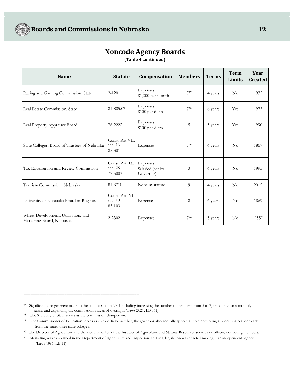| <b>Name</b>                                                      | <b>Statute</b>                        | Compensation                                               | <b>Members</b> | <b>Terms</b>   | <b>Term</b><br>Limits | Year<br><b>Created</b> |
|------------------------------------------------------------------|---------------------------------------|------------------------------------------------------------|----------------|----------------|-----------------------|------------------------|
| Racing and Gaming Commission, State                              | $2 - 1201$                            | Expenses;<br>\$1,000 per month                             | 727            | 4 years        | N <sub>o</sub>        | 1935                   |
| Real Estate Commission, State                                    | 81-885.07                             | Expenses;<br>728<br>\$100 per diem                         |                | 6 years        | Yes                   | 1973                   |
| Real Property Appraiser Board                                    | 76-2222                               | Expenses;<br>\$100 per diem                                | 5              | 5 years        | Yes                   | 1990                   |
| State Colleges, Board of Trustees of Nebraska                    | Const. Art.VII,<br>sec. 13<br>85_301  | Expenses                                                   | 729            | 6 years        | $\rm No$              | 1867                   |
| Tax Equalization and Review Commission                           | Const. Art. IX,<br>sec. 28<br>77-5003 | Expenses;<br>3<br>Salaried (set by<br>6 years<br>Governor) |                | N <sub>o</sub> | 1995                  |                        |
| Tourism Commission, Nebraska                                     | 81-3710                               | None in statute                                            | 9              | 4 years        | $\rm No$              | 2012                   |
| University of Nebraska Board of Regents                          | Const. Art. VI,<br>sec. 10<br>85-103  | Expenses                                                   | 8              | 6 years        | $\rm No$              | 1869                   |
| Wheat Development, Utilization, and<br>Marketing Board, Nebraska | 2-2302                                | <b>Expenses</b>                                            | 730            | 5 years        | $\rm No$              | 195531                 |

**(Table 4 continued)**

The Secretary of State serves as the commission chairperson.

<sup>&</sup>lt;sup>27</sup> Significant changes were made to the commission in 2021 including increasing the number of members from 5 to 7, providing for a monthly salary, and expanding the commission's areas of oversight (Laws 2021, LB 561).<br><sup>28</sup> The Secretary of State serves as the commission chairperson

<sup>&</sup>lt;sup>29</sup> The Commissioner of Education serves as an ex officio member; the governor also annually appoints three nonvoting student trustees, one each from the states three state colleges.

<sup>&</sup>lt;sup>30</sup> The Director of Agriculture and the vice chancellor of the Institute of Agriculture and Natural Resources serve as ex officio, nonvoting members.

<sup>&</sup>lt;sup>31</sup> Marketing was established in the Department of Agriculture and Inspection. In 1981, legislation was enacted making it an independent agency. (Laws 1981, LB 11).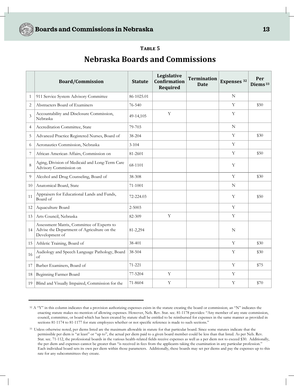

**\_\_\_\_\_\_\_\_\_\_\_\_\_\_\_\_\_\_\_\_\_\_\_\_\_\_\_\_\_\_\_\_\_\_\_\_\_\_\_\_\_\_\_\_\_\_\_\_\_\_\_**

#### **Table 5**

#### **Nebraska Boards and Commissions**

|                | <b>Board/Commission</b>                                                                                     | <b>Statute</b> | Legislative<br><b>Confirmation</b><br><b>Required</b> | <b>Termination</b><br><b>Date</b> | Expenses <sup>32</sup> | Per<br>Diems <sup>33</sup> |
|----------------|-------------------------------------------------------------------------------------------------------------|----------------|-------------------------------------------------------|-----------------------------------|------------------------|----------------------------|
| $\mathbf{1}$   | 911 Service System Advisory Committee                                                                       | 86-1025.01     |                                                       |                                   | ${\bf N}$              |                            |
| $\overline{2}$ | Abstracters Board of Examiners                                                                              | 76-540         |                                                       |                                   | Υ                      | \$50                       |
| 3              | Accountability and Disclosure Commission,<br>Nebraska                                                       | 49-14,105      | Y                                                     |                                   | Y                      |                            |
| 4              | Accreditation Committee, State                                                                              | 79-703         |                                                       |                                   | ${\bf N}$              |                            |
| 5              | Advanced Practice Registered Nurses, Board of                                                               | $38 - 204$     |                                                       |                                   | Y                      | \$30                       |
| 6              | Aeronautics Commission, Nebraska                                                                            | $3 - 104$      |                                                       |                                   | Y                      |                            |
| 7              | African American Affairs, Commission on                                                                     | 81-2601        |                                                       |                                   | Y                      | \$50                       |
| 8              | Aging, Division of Medicaid and Long-Term Care<br>Advisory Commission on                                    | 68-1101        |                                                       |                                   | $\mathbf Y$            |                            |
| 9              | Alcohol and Drug Counseling, Board of                                                                       | 38-308         |                                                       |                                   | Y                      | \$30                       |
| 10             | Anatomical Board, State                                                                                     | 71-1001        |                                                       |                                   | ${\bf N}$              |                            |
| 11             | Appraisers for Educational Lands and Funds,<br>Board of                                                     | 72-224.03      |                                                       |                                   | Y                      | \$50                       |
| 12             | Aquaculture Board                                                                                           | $2 - 5003$     |                                                       |                                   | Y                      |                            |
| 13             | Arts Council, Nebraska                                                                                      | 82-309         | $\mathbf Y$                                           |                                   | $\mathbf Y$            |                            |
| 14             | Assessment Matrix, Committee of Experts to<br>Advise the Department of Agriculture on the<br>Development of | 81-2,294       |                                                       |                                   | ${\bf N}$              |                            |
| 15             | Athletic Training, Board of                                                                                 | 38-401         |                                                       |                                   | Y                      | \$30                       |
| 16             | Audiology and Speech Language Pathology, Board<br>of                                                        | 38-504         |                                                       |                                   | $\mathbf Y$            | \$30                       |
| 17             | Barber Examiners, Board of                                                                                  | 71-221         |                                                       |                                   | Y                      | \$75                       |
| 18             | Beginning Farmer Board                                                                                      | 77-5204        | Y                                                     |                                   | Y                      |                            |
| 19             | Blind and Visually Impaired, Commission for the                                                             | 71-8604        | Y                                                     |                                   | Y                      | \$70                       |

<sup>&</sup>lt;sup>32</sup> A "Y" in this column indicates that a provision authorizing expenses exists in the statute creating the board or commission; an "N" indicates the enacting statute makes no mention of allowing expenses. However, Neb. Rev. Stat. sec. 81-1178 provides: "Any member of any state commission, council, committee, or board which has been created by statute shall be entitled to be reimbursed for expenses in the same manner as provided in sections 81-1174 to 81-1177 for state employees whether or not specific reference is made to such sections."

<sup>33</sup>Unless otherwise noted, per diems listed are the maximum allowable in statute for that particular board. Since some statutes indicate that the permissible per diem is "at least" or "up to", the actual per diem paid to a given board member could be less than that listed. As per Neb. Rev. Stat. sec. 71-112, the professional boards in the various health-related fields receive expenses as well as a per diem not to exceed \$30. Additionally, the per diem and expenses cannot be greater than "is received in fees from the applicants taking the examination in any particular profession." Each individual board sets its own per diem within those parameters. Additionally, these boards may set per diems and pay the expenses up to this rate for any subcommittees they create.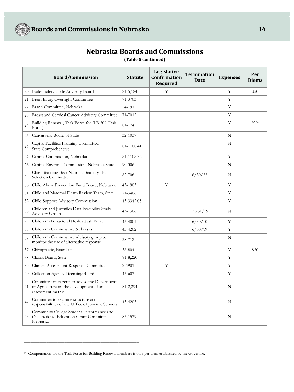

**(Table 5 continued)**

|    | <b>Board/Commission</b>                                                                                       | <b>Statute</b> | Legislative<br><b>Confirmation</b><br><b>Required</b> | <b>Termination</b><br><b>Date</b> | <b>Expenses</b> | Per<br><b>Diems</b> |
|----|---------------------------------------------------------------------------------------------------------------|----------------|-------------------------------------------------------|-----------------------------------|-----------------|---------------------|
| 20 | Boiler Safety Code Advisory Board                                                                             | 81-5,184       | Y                                                     |                                   | Y               | \$50                |
| 21 | Brain Injury Oversight Committee                                                                              | 71-3703        |                                                       |                                   | Y               |                     |
| 22 | Brand Committee, Nebraska                                                                                     | 54-191         |                                                       |                                   | Y               |                     |
| 23 | Breast and Cervical Cancer Advisory Committee                                                                 | 71-7012        |                                                       |                                   | Y               |                     |
| 24 | Building Renewal, Task Force for (LB 309 Task<br>Force)                                                       | 81-174         |                                                       |                                   | $\mathbf Y$     | Y <sup>34</sup>     |
| 25 | Canvassers, Board of State                                                                                    | 32-1037        |                                                       |                                   | N               |                     |
| 26 | Capital Facilities Planning Committee,<br>State Comprehensive                                                 | 81-1108.41     |                                                       |                                   | N               |                     |
| 27 | Capitol Commission, Nebraska                                                                                  | 81-1108.32     |                                                       |                                   | Y               |                     |
| 28 | Capitol Environs Commission, Nebraska State                                                                   | 90-306         |                                                       |                                   | N               |                     |
| 29 | Chief Standing Bear National Statuary Hall<br>Selection Committee                                             | 82-706         |                                                       | 6/30/23                           | N               |                     |
| 30 | Child Abuse Prevention Fund Board, Nebraska                                                                   | 43-1903        | Y                                                     |                                   | Y               |                     |
| 31 | Child and Maternal Death Review Team, State                                                                   | 71-3406        |                                                       |                                   | Y               |                     |
| 32 | Child Support Advisory Commission                                                                             | 43-3342.05     |                                                       |                                   | Y               |                     |
| 33 | Children and Juveniles Data Feasibility Study<br><b>Advisory Group</b>                                        | 43-1306        |                                                       | 12/31/19                          | N               |                     |
| 34 | Children's Behavioral Health Task Force                                                                       | 43-4001        |                                                       | 6/30/10                           | Y               |                     |
| 35 | Children's Commission, Nebraska                                                                               | 43-4202        |                                                       | 6/30/19                           | Y               |                     |
| 36 | Children's Commission, advisory group to<br>monitor the use of alternative response                           | 28-712         |                                                       |                                   | N               |                     |
| 37 | Chiropractic, Board of                                                                                        | 38-804         |                                                       |                                   | Y               | \$30                |
| 38 | Claims Board, State                                                                                           | 81-8,220       |                                                       |                                   | Y               |                     |
| 39 | Climate Assessment Response Committee                                                                         | 2-4901         | Y                                                     |                                   | Y               |                     |
| 40 | Collection Agency Licensing Board                                                                             | 45-603         |                                                       |                                   | Y               |                     |
| 41 | Committee of experts to advise the Department<br>of Agriculture on the development of an<br>assessment matrix | 81-2,294       |                                                       |                                   | N               |                     |
| 42 | Committee to examine structure and<br>responsibilities of the Office of Juvenile Services                     | 43-4203        |                                                       |                                   | N               |                     |
| 43 | Community College Student Performance and<br>Occupational Education Grant Committee,<br>Nebraska              | 85-1539        |                                                       |                                   | $\mathbf N$     |                     |

<sup>&</sup>lt;sup>34</sup> Compensation for the Task Force for Building Renewal members is on a per diem established by the Governor.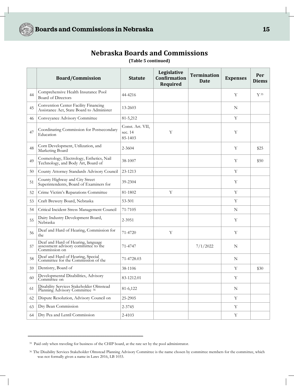

|  | (Table 5 continued) |
|--|---------------------|
|--|---------------------|

|    | <b>Board/Commission</b>                                                                     | <b>Statute</b>                         | Legislative<br><b>Confirmation</b><br>Required | <b>Termination</b><br><b>Date</b> | <b>Expenses</b> | Per<br><b>Diems</b> |
|----|---------------------------------------------------------------------------------------------|----------------------------------------|------------------------------------------------|-----------------------------------|-----------------|---------------------|
| 44 | Comprehensive Health Insurance Pool<br><b>Board of Directors</b>                            | 44-4216                                |                                                |                                   | Y               | Y <sub>35</sub>     |
| 45 | Convention Center Facility Financing<br>Assistance Act, State Board to Administer           | 13-2603                                |                                                |                                   | N               |                     |
| 46 | Conveyance Advisory Committee                                                               | 81-5,212                               |                                                |                                   | Y               |                     |
| 47 | Coordinating Commission for Postsecondary<br>Education                                      | Const. Art. VII,<br>sec. 14<br>85-1403 | Y                                              |                                   | Y               |                     |
| 48 | Corn Development, Utilization, and<br>Marketing Board                                       | 2-3604                                 |                                                |                                   | Y               | \$25                |
| 49 | Cosmetology, Electrology, Esthetics, Nail<br>Technology, and Body Art, Board of             | 38-1007                                |                                                |                                   | Y               | \$50                |
| 50 | County Attorney Standards Advisory Council                                                  | 23-1213                                |                                                |                                   | Y               |                     |
| 51 | County Highway and City Street<br>Superintendents, Board of Examiners for                   | 39-2304                                |                                                |                                   | Y               |                     |
| 52 | Crime Victim's Reparations Committee                                                        | 81-1802                                | Y                                              |                                   | Y               |                     |
| 53 | Craft Brewery Board, Nebraska                                                               | 53-501                                 |                                                |                                   | Y               |                     |
| 54 | Critical Incident Stress Management Council                                                 | 71-7105                                |                                                |                                   | N               |                     |
| 55 | Dairy Industry Development Board,<br>Nebraska                                               | 2-3951                                 |                                                |                                   | Y               |                     |
| 56 | Deaf and Hard of Hearing, Commission for<br>the                                             | 71-4720                                | $\mathbf Y$                                    |                                   | Y               |                     |
| 57 | Deaf and Hard of Hearing, language<br>assessment advisory committee to the<br>Commission on | 71-4747                                |                                                | 7/1/2022                          | N               |                     |
| 58 | Deaf and Hard of Hearing, Special<br>Committee for the Commission of the                    | 71-4728.03                             |                                                |                                   | N               |                     |
| 59 | Dentistry, Board of                                                                         | 38-1106                                |                                                |                                   | Y               | \$30                |
| 60 | Developmental Disabilities, Advisory<br>Committee on                                        | 83-1212.01                             |                                                |                                   | $\mathbf Y$     |                     |
| 61 | Disability Services Stakeholder Olmstead<br>Planning Advisory Committee 36                  | 81-6,122                               |                                                |                                   | $\mathbf N$     |                     |
| 62 | Dispute Resolution, Advisory Council on                                                     | 25-2905                                |                                                |                                   | Y               |                     |
| 63 | Dry Bean Commission                                                                         | 2-3745                                 |                                                |                                   | $\mathbf Y$     |                     |
| 64 | Dry Pea and Lentil Commission                                                               | 2-4103                                 |                                                |                                   | $\mathbf Y$     |                     |

<sup>&</sup>lt;sup>35</sup> Paid only when traveling for business of the CHIP board, at the rate set by the pool administrator.

<sup>&</sup>lt;sup>36</sup> The Disability Services Stakeholder Olmstead Planning Advisory Committee is the name chosen by committee members for the committee, which was not formally given a name in Laws 2016, LB 1033.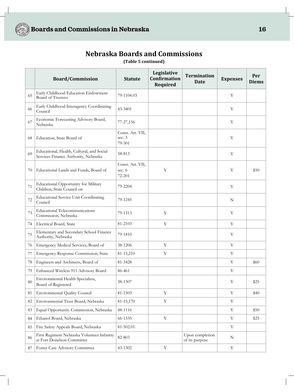

**(Table 5 continued)**

|    | <b>Board/Commission</b>                                                           | <b>Statute</b>                         | Legislative<br><b>Confirmation</b><br>Required | <b>Termination</b><br><b>Date</b> | <b>Expenses</b> | Per<br><b>Diems</b> |
|----|-----------------------------------------------------------------------------------|----------------------------------------|------------------------------------------------|-----------------------------------|-----------------|---------------------|
| 65 | Early Childhood Education Endowment<br>Board of Trustees                          | 79-1104.03                             |                                                |                                   | Y               |                     |
| 66 | Early Childhood Interagency Coordinating<br>Council                               | 43-3401                                |                                                |                                   | $\mathbf Y$     |                     |
| 67 | Economic Forecasting Advisory Board,<br>Nebraska                                  | 77-27,156                              |                                                |                                   | Y               |                     |
| 68 | Education, State Board of                                                         | Const. Art. VII,<br>sec. $3$<br>79-301 |                                                |                                   | $\mathbf Y$     |                     |
| 69 | Educational, Health, Cultural, and Social<br>Services Finance Authority, Nebraska | 58-813                                 |                                                |                                   | Y               |                     |
| 70 | Educational Lands and Funds, Board of                                             | Const. Art. VII,<br>sec. 6<br>72-201   | Y                                              |                                   | Y               | \$50                |
| 71 | Educational Opportunity for Military<br>Children, State Council on                | 79-2204                                |                                                |                                   | Y               |                     |
| 72 | <b>Educational Service Unit Coordinating</b><br>Council                           | 79-1245                                |                                                |                                   | ${\bf N}$       |                     |
| 73 | <b>Educational Telecommunications</b><br>Commission, Nebraska                     | 79-1313                                | Y                                              |                                   | Y               |                     |
| 74 | Electrical Board, State                                                           | 81-2103                                | $\mathbf Y$                                    |                                   | Y               |                     |
| 75 | Elementary and Secondary School Finance<br>Authority, Nebraska                    | 79-1810                                |                                                |                                   | Y               |                     |
| 76 | Emergency Medical Services, Board of                                              | 38-1206                                | Y                                              |                                   | Y               |                     |
| 77 | Emergency Response Commission, State                                              | 81-15,210                              | Y                                              |                                   | Y               |                     |
| 78 | Engineers and Architects, Board of                                                | 81-3428                                |                                                |                                   | Y               | \$60                |
| 79 | Enhanced Wireless 911 Advisory Board                                              | 86-461                                 |                                                |                                   | Y               |                     |
| 80 | Environmental Health Specialists,<br>Board of Registered                          | 38-1307                                |                                                |                                   | $\mathbf Y$     | \$25                |
| 81 | Environmental Quality Council                                                     | 81-1503                                | Y                                              |                                   | Y               | \$40                |
| 82 | Environmental Trust Board, Nebraska                                               | 81-15,170                              | Y                                              |                                   | Y               |                     |
| 83 | Equal Opportunity Commission, Nebraska                                            | 48-1116                                |                                                |                                   | Y               | \$50                |
| 84 | Ethanol Board, Nebraska                                                           | 66-1335                                | $\mathbf Y$                                    |                                   | $\mathbf Y$     | \$25                |
| 85 | Fire Safety Appeals Board, Nebraska                                               | 81-502.01                              |                                                |                                   | $\mathbf Y$     |                     |
| 86 | First Regiment Nebraska Volunteer Infantry<br>at Fort Donelson Committee          | 82-803                                 |                                                | Upon completion<br>of its purpose | $\mathbf N$     |                     |
| 87 | Foster Care Advisory Committee                                                    | 43-1302                                | $\mathbf Y$                                    |                                   | $\mathbf Y$     |                     |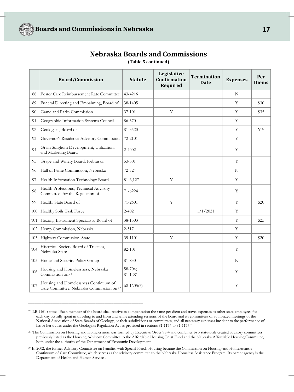

**\_\_\_\_\_\_\_\_\_\_\_\_\_\_\_\_\_\_\_\_\_\_\_\_\_\_\_\_\_\_\_\_\_\_\_\_\_\_\_\_\_\_\_\_\_\_\_\_\_\_\_**

|     | <b>Board/Commission</b>                                                                       | <b>Statute</b>     | Legislative<br><b>Confirmation</b><br><b>Required</b> | <b>Termination</b><br><b>Date</b> | <b>Expenses</b> | Per<br><b>Diems</b> |
|-----|-----------------------------------------------------------------------------------------------|--------------------|-------------------------------------------------------|-----------------------------------|-----------------|---------------------|
| 88  | Foster Care Reimbursement Rate Committee                                                      | 43-4216            |                                                       |                                   | N               |                     |
| 89  | Funeral Directing and Embalming, Board of                                                     | 38-1405            |                                                       |                                   | Y               | \$30                |
| 90  | Game and Parks Commission                                                                     | 37-101             | Y                                                     |                                   | Y               | \$35                |
| 91  | Geographic Information Systems Council                                                        | 86-570             |                                                       |                                   | Y               |                     |
| 92  | Geologists, Board of                                                                          | 81-3520            |                                                       |                                   | Y               | Y <sup>37</sup>     |
| 93  | Governor's Residence Advisory Commission                                                      | 72-2101            |                                                       |                                   | Y               |                     |
| 94  | Grain Sorghum Development, Utilization,<br>and Marketing Board                                | 2-4002             |                                                       |                                   | Y               |                     |
| 95  | Grape and Winery Board, Nebraska                                                              | 53-301             |                                                       |                                   | Y               |                     |
| 96  | Hall of Fame Commission, Nebraska                                                             | 72-724             |                                                       |                                   | ${\bf N}$       |                     |
| 97  | Health Information Technology Board                                                           | 81-6,127           | Y                                                     |                                   | $\mathbf Y$     |                     |
| 98  | Health Professions, Technical Advisory<br>Committee for the Regulation of                     | 71-6224            |                                                       |                                   | Y               |                     |
| 99  | Health, State Board of                                                                        | 71-2601            | Y                                                     |                                   | Y               | \$20                |
| 100 | Healthy Soils Task Force                                                                      | $2 - 402$          |                                                       | 1/1/2021                          | $\mathbf Y$     |                     |
| 101 | Hearing Instrument Specialists, Board of                                                      | 38-1503            |                                                       |                                   | Y               | \$25                |
| 102 | Hemp Commission, Nebraska                                                                     | $2 - 517$          |                                                       |                                   | Y               |                     |
| 103 | Highway Commission, State                                                                     | 39-1101            | $\mathbf Y$                                           |                                   | $\mathbf Y$     | \$20                |
| 104 | Historical Society Board of Trustees,<br>Nebraska State                                       | 82-101             |                                                       |                                   | $\mathbf Y$     |                     |
| 105 | Homeland Security Policy Group                                                                | 81-830             |                                                       |                                   | N               |                     |
| 106 | Housing and Homelessness, Nebraska<br>Commission on 38                                        | 58-704;<br>81-1281 |                                                       |                                   | Y               |                     |
| 107 | Housing and Homelessness Continuum of<br>Care Committee, Nebraska Commission on <sup>39</sup> | $68-1605(3)$       |                                                       |                                   | Y               |                     |

#### **Nebraska Boards and Commissions**

**(Table 5 continued)**

<sup>37</sup>LB 1161 states: "Each member of the board shall receive as compensation the same per diem and travel expenses as other state employees for each day actually spent in traveling to and from and while attending sessions of the board and its committees or authorized meetings of the National Association of State Boards of Geology, or their subdivisions or committees, and all necessary expenses incident to the performance of his or her duties under the Geologists Regulation Act as provided in sections 81-1174 to 81-1177."

<sup>38</sup>The Commission on Housing and Homelessness was formed by Executive Order 98-4 and combines two statutorily created advisory committees previously listed as the Housing Advisory Committee to the Affordable Housing Trust Fund and the Nebraska Affordable Housing Committee, both under the authority of the Department of Economic Development.

<sup>39</sup>In 2002, the former Advisory Committee on Families with Special Needs Housing became the Commission on Housing and Homelessness Continuum of Care Committee, which serves as the advisory committee to the Nebraska Homeless Assistance Program. Its parent agency is the Department of Health and Human Services.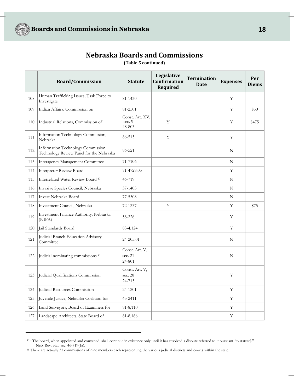

**(Table 5 continued)**

|     | <b>Board/Commission</b>                                                        | <b>Statute</b>                      | Legislative<br><b>Confirmation</b><br>Required | <b>Termination</b><br><b>Date</b> | <b>Expenses</b> | Per<br><b>Diems</b> |
|-----|--------------------------------------------------------------------------------|-------------------------------------|------------------------------------------------|-----------------------------------|-----------------|---------------------|
| 108 | Human Trafficking Issues, Task Force to<br>Investigate                         | 81-1430                             |                                                |                                   | Y               |                     |
| 109 | Indian Affairs, Commission on                                                  | 81-2501                             |                                                |                                   | Y               | \$50                |
| 110 | Industrial Relations, Commission of                                            | Const. Art. XV,<br>sec. 9<br>48-803 | Y                                              |                                   | Y               | \$475               |
| 111 | Information Technology Commission,<br>Nebraska                                 | 86-515                              | Y                                              |                                   | Y               |                     |
| 112 | Information Technology Commission,<br>Technology Review Panel for the Nebraska | 86-521                              |                                                |                                   | N               |                     |
| 113 | Interagency Management Committee                                               | 71-7106                             |                                                |                                   | N               |                     |
| 114 | Interpreter Review Board                                                       | 71-4728.05                          |                                                |                                   | Y               |                     |
| 115 | Interrelated Water Review Board 40                                             | 46-719                              |                                                |                                   | $\mathbf N$     |                     |
| 116 | Invasive Species Council, Nebraska                                             | 37-1403                             |                                                |                                   | N               |                     |
| 117 | Invest Nebraska Board                                                          | 77-5508                             |                                                |                                   | N               |                     |
| 118 | Investment Council, Nebraska                                                   | 72-1237                             | Y                                              |                                   | Y               | \$75                |
| 119 | Investment Finance Authority, Nebraska<br>(NIFA)                               | 58-226                              |                                                |                                   | Y               |                     |
| 120 | Jail Standards Board                                                           | 83-4,124                            |                                                |                                   | Y               |                     |
| 121 | Judicial Branch Education Advisory<br>Committee                                | 24-205.01                           |                                                |                                   | ${\bf N}$       |                     |
| 122 | Judicial nominating commissions <sup>41</sup>                                  | Const. Art. V,<br>sec. 21<br>24-801 |                                                |                                   | $\mathbb N$     |                     |
|     | 123 Judicial Qualifications Commission                                         | Const. Art. V,<br>sec. 28<br>24-715 |                                                |                                   | $\mathbf Y$     |                     |
| 124 | Judicial Resources Commission                                                  | 24-1201                             |                                                |                                   | $\mathbf Y$     |                     |
| 125 | Juvenile Justice, Nebraska Coalition for                                       | 43-2411                             |                                                |                                   | Y               |                     |
| 126 | Land Surveyors, Board of Examiners for                                         | 81-8,110                            |                                                |                                   | $\mathbf Y$     |                     |
| 127 | Landscape Architects, State Board of                                           | 81-8,186                            |                                                |                                   | $\mathbf Y$     |                     |

<sup>&</sup>lt;sup>40</sup> "The board, when appointed and convened, shall continue in existence only until it has resolved a dispute referred to it pursuant [to statute]." Neb. Rev. Stat. sec. 46-719(1a).

<sup>41</sup>There are actually 33 commissions of nine members each representing the various judicial districts and courts within the state.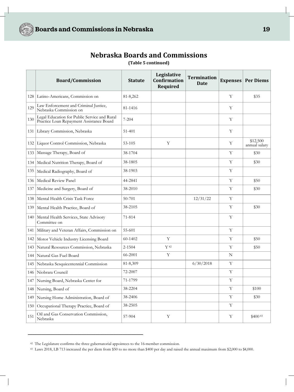

**(Table 5 continued)**

|     | <b>Board/Commission</b>                                                                  | <b>Statute</b> | Legislative<br><b>Confirmation</b><br>Required | <b>Termination</b><br><b>Date</b> |             | <b>Expenses</b> Per Diems |
|-----|------------------------------------------------------------------------------------------|----------------|------------------------------------------------|-----------------------------------|-------------|---------------------------|
| 128 | Latino-Americans, Commission on                                                          | 81-8,262       |                                                |                                   | Υ           | \$35                      |
| 129 | Law Enforcement and Criminal Justice,<br>Nebraska Commission on                          | 81-1416        |                                                |                                   | Y           |                           |
| 130 | Legal Education for Public Service and Rural<br>Practice Loan Repayment Assistance Board | $7 - 204$      |                                                |                                   | Y           |                           |
|     | 131 Library Commission, Nebraska                                                         | 51-401         |                                                |                                   | Y           |                           |
| 132 | Liquor Control Commission, Nebraska                                                      | 53-105         | Y                                              |                                   | Y           | \$12,500<br>annual salary |
| 133 | Massage Therapy, Board of                                                                | 38-1704        |                                                |                                   | Y           | \$30                      |
| 134 | Medical Nutrition Therapy, Board of                                                      | 38-1805        |                                                |                                   | Y           | \$30                      |
| 135 | Medical Radiography, Board of                                                            | 38-1903        |                                                |                                   | Y           |                           |
| 136 | Medical Review Panel                                                                     | 44-2841        |                                                |                                   | Y           | \$50                      |
| 137 | Medicine and Surgery, Board of                                                           | 38-2010        |                                                |                                   | Y           | \$30                      |
| 138 | Mental Health Crisis Task Force                                                          | 50-701         |                                                | 12/31/22                          | Y           |                           |
| 139 | Mental Health Practice, Board of                                                         | 38-2105        |                                                |                                   | Y           | \$30                      |
| 140 | Mental Health Services, State Advisory<br>Committee on                                   | 71-814         |                                                |                                   | Y           |                           |
| 141 | Military and Veteran Affairs, Commission on                                              | 55-601         |                                                |                                   | Y           |                           |
| 142 | Motor Vehicle Industry Licensing Board                                                   | 60-1402        | Y                                              |                                   | Y           | \$50                      |
| 143 | Natural Resources Commission, Nebraska                                                   | 2-1504         | Y <sup>42</sup>                                |                                   | Y           | \$50                      |
| 144 | Natural Gas Fuel Board                                                                   | 66-2001        | Y                                              |                                   | N           |                           |
| 145 | Nebraska Sesquicentennial Commission                                                     | 81-8,309       |                                                | 6/30/2018                         | Y           |                           |
|     | 146   Niobrara Council                                                                   | 72-2007        |                                                |                                   | Y           |                           |
| 147 | Nursing Board, Nebraska Center for                                                       | 71-1799        |                                                |                                   | $\mathbf Y$ |                           |
| 148 | Nursing, Board of                                                                        | 38-2204        |                                                |                                   | $\mathbf Y$ | \$100                     |
| 149 | Nursing Home Administration, Board of                                                    | 38-2406        |                                                |                                   | Y           | \$30                      |
| 150 | Occupational Therapy Practice, Board of                                                  | 38-2505        |                                                |                                   | $\mathbf Y$ |                           |
| 151 | Oil and Gas Conservation Commission,<br>Nebraska                                         | 57-904         | $\mathbf Y$                                    |                                   | Y           | \$400 43                  |

The Legislature confirms the three gubernatorial appointees to the 16-member commission.

Laws 2018, LB 713 increased the per diem from \$50 to no more than \$400 per day and raised the annual maximum from \$2,000 to \$4,000.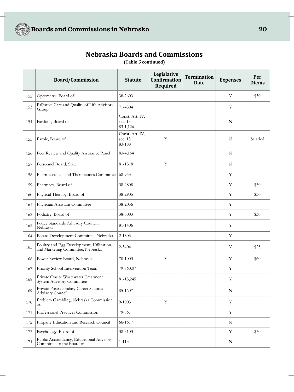

**(Table 5 continued)**

|     | <b>Board/Commission</b>                                                        | <b>Statute</b>                         | Legislative<br><b>Confirmation</b><br>Required | <b>Termination</b><br><b>Date</b> | <b>Expenses</b> | Per<br><b>Diems</b> |
|-----|--------------------------------------------------------------------------------|----------------------------------------|------------------------------------------------|-----------------------------------|-----------------|---------------------|
| 152 | Optometry, Board of                                                            | 38-2603                                |                                                |                                   | Y               | \$30                |
| 153 | Palliative Care and Quality of Life Advisory<br>Group                          | 71-4504                                |                                                |                                   | Y               |                     |
| 154 | Pardons, Board of                                                              | Const. Art. IV,<br>sec. 13<br>83-1,126 |                                                |                                   | $\mathbf N$     |                     |
| 155 | Parole, Board of                                                               | Const. Art. IV,<br>sec. 13<br>83-188   | Y                                              |                                   | $\mathbf N$     | Salaried            |
| 156 | Peer Review and Quality Assurance Panel                                        | 83-4,164                               |                                                |                                   | $\mathbf N$     |                     |
| 157 | Personnel Board, State                                                         | 81-1318                                | Y                                              |                                   | N               |                     |
| 158 | Pharmaceutical and Therapeutics Committee                                      | 68-953                                 |                                                |                                   | Y               |                     |
| 159 | Pharmacy, Board of                                                             | 38-2808                                |                                                |                                   | Y               | \$30                |
| 160 | Physical Therapy, Board of                                                     | 38-2905                                |                                                |                                   | Y               | \$30                |
| 161 | Physician Assistant Committee                                                  | 38-2056                                |                                                |                                   | Y               |                     |
| 162 | Podiatry, Board of                                                             | 38-3003                                |                                                |                                   | $\mathbf Y$     | \$30                |
| 163 | Police Standards Advisory Council,<br>Nebraska                                 | 81-1406                                |                                                |                                   | Y               |                     |
| 164 | Potato Development Committee, Nebraska                                         | 2-1803                                 |                                                |                                   | $\mathbf Y$     |                     |
| 165 | Poultry and Egg Development, Utilization,<br>and Marketing Committee, Nebraska | 2-3404                                 |                                                |                                   | Y               | \$25                |
| 166 | Power Review Board, Nebraska                                                   | 70-1003                                | $\mathbf Y$                                    |                                   | Y               | \$60                |
| 167 | Priority School Intervention Team                                              | 79-760.07                              |                                                |                                   | $\mathbf Y$     |                     |
| 168 | Private Onsite Wastewater Treatment<br><b>System Advisory Committee</b>        | 81-15,245                              |                                                |                                   | $\mathbf Y$     |                     |
| 169 | Private Postsecondary Career Schools<br>Advisory Council                       | 85-1607                                |                                                |                                   | $\mathbf N$     |                     |
| 170 | Problem Gambling, Nebraska Commission<br>on                                    | $9 - 1003$                             | $\mathbf Y$                                    |                                   | $\mathbf Y$     |                     |
| 171 | Professional Practices Commission                                              | 79-861                                 |                                                |                                   | $\mathbf Y$     |                     |
| 172 | Propane Education and Research Council                                         | 66-1617                                |                                                |                                   | N               |                     |
| 173 | Psychology, Board of                                                           | 38-3103                                |                                                |                                   | $\mathbf Y$     | \$30                |
| 174 | Public Accountancy, Educational Advisory<br>Committee to the Board of          | $1 - 113$                              |                                                |                                   | N               |                     |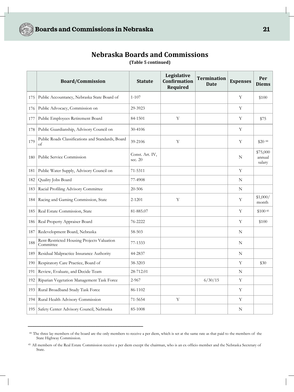

**(Table 5 continued)**

|     | <b>Board/Commission</b>                                 | <b>Statute</b>             | Legislative<br><b>Confirmation</b><br>Required | <b>Termination</b><br><b>Date</b> | <b>Expenses</b> | Per<br><b>Diems</b>          |
|-----|---------------------------------------------------------|----------------------------|------------------------------------------------|-----------------------------------|-----------------|------------------------------|
| 175 | Public Accountancy, Nebraska State Board of             | $1 - 107$                  |                                                |                                   | Y               | \$100                        |
| 176 | Public Advocacy, Commission on                          | 29-3923                    |                                                |                                   | Y               |                              |
| 177 | Public Employees Retirement Board                       | 84-1501                    | Y                                              |                                   | Y               | \$75                         |
| 178 | Public Guardianship, Advisory Council on                | 30-4106                    |                                                |                                   | Y               |                              |
| 179 | Public Roads Classifications and Standards, Board<br>of | 39-2106                    | Y                                              |                                   | Y               | \$20 44                      |
| 180 | Public Service Commission                               | Const. Art. IV,<br>sec. 20 |                                                |                                   | N               | \$75,000<br>annual<br>salary |
| 181 | Public Water Supply, Advisory Council on                | 71-5311                    |                                                |                                   | Y               |                              |
| 182 | Quality Jobs Board                                      | 77-4908                    |                                                |                                   | N               |                              |
| 183 | Racial Profiling Advisory Committee                     | 20-506                     |                                                |                                   | $\mathbf N$     |                              |
| 184 | Racing and Gaming Commission, State                     | 2-1201                     | $\mathbf Y$                                    |                                   | Y               | \$1,000/<br>month            |
| 185 | Real Estate Commission, State                           | 81-885.07                  |                                                |                                   | Y               | \$10045                      |
| 186 | Real Property Appraiser Board                           | 76-2222                    |                                                |                                   | $\mathbf Y$     | \$100                        |
| 187 | Redevelopment Board, Nebraska                           | 58-503                     |                                                |                                   | N               |                              |
| 188 | Rent-Restricted Housing Projects Valuation<br>Committee | 77-1333                    |                                                |                                   | N               |                              |
| 189 | Residual Malpractice Insurance Authority                | 44-2837                    |                                                |                                   | N               |                              |
| 190 | Respiratory Care Practice, Board of                     | 38-3203                    |                                                |                                   | Y               | \$30                         |
| 191 | Review, Evaluate, and Decide Team                       | 28-712.01                  |                                                |                                   | N               |                              |
| 192 | Riparian Vegetation Management Task Force               | 2-967                      |                                                | 6/30/15                           | $\mathbf Y$     |                              |
| 193 | Rural Broadband Study Task Force                        | 86-1102                    |                                                |                                   | Y               |                              |
| 194 | Rural Health Advisory Commission                        | 71-5654                    | $\mathbf Y$                                    |                                   | Y               |                              |
| 195 | Safety Center Advisory Council, Nebraska                | 85-1008                    |                                                |                                   | $\mathbf N$     |                              |

<sup>44</sup>The three lay members of the board are the only members to receive a per diem, which is set at the same rate as that paid to the members of the State Highway Commission.

<sup>45</sup>All members of the Real Estate Commission receive a per diem except the chairman, who is an ex officio member and the Nebraska Secretary of State.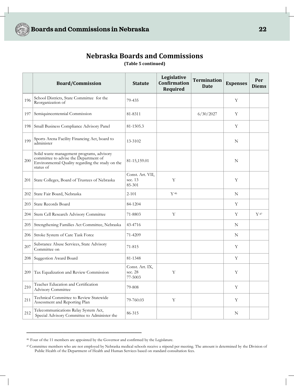

**(Table 5 continued)**

|     | <b>Board/Commission</b>                                                                                                                             | <b>Statute</b>                        | Legislative<br><b>Confirmation</b><br>Required | <b>Termination</b><br>Date | <b>Expenses</b> | Per<br><b>Diems</b> |
|-----|-----------------------------------------------------------------------------------------------------------------------------------------------------|---------------------------------------|------------------------------------------------|----------------------------|-----------------|---------------------|
| 196 | School Districts, State Committee for the<br>Reorganization of                                                                                      | 79-435                                |                                                |                            | Y               |                     |
| 197 | Semiquincentennial Commission                                                                                                                       | 81-8311                               |                                                | 6/30/2027                  | Y               |                     |
| 198 | Small Business Compliance Advisory Panel                                                                                                            | 81-1505.3                             |                                                |                            | Y               |                     |
| 199 | Sports Arena Facility Financing Act, board to<br>administer                                                                                         | 13-3102                               |                                                |                            | N               |                     |
| 200 | Solid waste management programs, advisory<br>committee to advise the Department of<br>Environmental Quality regarding the study on the<br>status of | 81-15,159.01                          |                                                |                            | N               |                     |
| 201 | State Colleges, Board of Trustees of Nebraska                                                                                                       | Const. Art. VII,<br>sec. 13<br>85-301 | Y                                              |                            | Y               |                     |
| 202 | State Fair Board, Nebraska                                                                                                                          | $2 - 101$                             | Y <sup>46</sup>                                |                            | N               |                     |
| 203 | <b>State Records Board</b>                                                                                                                          | 84-1204                               |                                                |                            | Y               |                     |
| 204 | Stem Cell Research Advisory Committee                                                                                                               | 71-8803                               | $\mathbf Y$                                    |                            | Y               | $Y$ <sup>47</sup>   |
| 205 | Strengthening Families Act Committee, Nebraska                                                                                                      | 43-4716                               |                                                |                            | N               |                     |
| 206 | Stroke System of Care Task Force                                                                                                                    | 71-4209                               |                                                |                            | N               |                     |
| 207 | Substance Abuse Services, State Advisory<br>Committee on                                                                                            | 71-815                                |                                                |                            | Y               |                     |
| 208 | Suggestion Award Board                                                                                                                              | 81-1348                               |                                                |                            | $\mathbf Y$     |                     |
| 209 | Tax Equalization and Review Commission                                                                                                              | Const. Art. IX,<br>sec. 28<br>77-5003 | Y                                              |                            | Y               |                     |
| 210 | Teacher Education and Certification<br>Advisory Committee                                                                                           | 79-808                                |                                                |                            | Y               |                     |
| 211 | Technical Committee to Review Statewide<br>Assessment and Reporting Plan                                                                            | 79-760.03                             | Y                                              |                            | Y               |                     |
| 212 | Telecommunications Relay System Act,<br>Special Advisory Committee to Administer the                                                                | 86-315                                |                                                |                            | N               |                     |

<sup>&</sup>lt;sup>46</sup> Four of the 11 members are appointed by the Governor and confirmed by the Legislature.

<sup>47</sup>Committee members who are not employed by Nebraska medical schools receive a stipend per meeting. The amount is determined by the Division of Public Health of the Department of Health and Human Services based on standard consultation fees.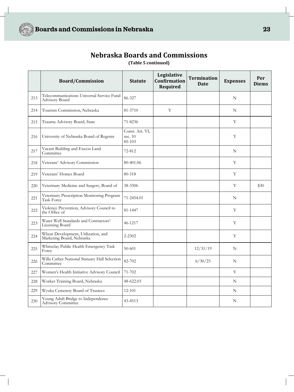

| <b>Nebraska Boards and Commissions</b> |  |  |
|----------------------------------------|--|--|

|     | <b>Board/Commission</b>                                          | <b>Statute</b>                       | Legislative<br><b>Confirmation</b><br>Required | <b>Termination</b><br><b>Date</b> | <b>Expenses</b> | Per<br><b>Diems</b> |
|-----|------------------------------------------------------------------|--------------------------------------|------------------------------------------------|-----------------------------------|-----------------|---------------------|
| 213 | Telecommunications Universal Service Fund<br>Advisory Board      | 86-327                               |                                                |                                   | N               |                     |
| 214 | Tourism Commission, Nebraska                                     | 81-3710                              | Y                                              |                                   | N               |                     |
| 215 | Trauma Advisory Board, State                                     | 71-8236                              |                                                |                                   | Y               |                     |
| 216 | University of Nebraska Board of Regents                          | Const. Art. VI,<br>sec. 10<br>85-103 |                                                |                                   | Y               |                     |
| 217 | Vacant Building and Excess Land<br>Committee                     | 72-812                               |                                                |                                   | N               |                     |
| 218 | Veterans' Advisory Commission                                    | 80-401.06                            |                                                |                                   | Y               |                     |
| 219 | Veterans' Homes Board                                            | 80-318                               |                                                |                                   | Y               |                     |
| 220 | Veterinary Medicine and Surgery, Board of                        | 38-3306                              |                                                |                                   | Y               | \$30                |
| 221 | Veterinary Prescription Monitoring Program<br>Task Force         | 71-2454.01                           |                                                |                                   | N               |                     |
| 222 | Violence Prevention, Advisory Council to<br>the Office of        | 81-1447                              |                                                |                                   | Y               |                     |
| 223 | Water Well Standards and Contractors'<br>Licensing Board         | 46-1217                              |                                                |                                   | Y               |                     |
| 224 | Wheat Development, Utilization, and<br>Marketing Board, Nebraska | 2-2302                               |                                                |                                   | Y               |                     |
| 225 | Whiteclay Public Health Emergency Task<br>Force                  | 50-601                               |                                                | 12/31/19                          | N               |                     |
| 226 | Willa Cather National Statuary Hall Selection<br>Committee       | 82-702                               |                                                | 6/30/23                           | N               |                     |
| 227 | Women's Health Initiative Advisory Council                       | 71-702                               |                                                |                                   | Y               |                     |
| 228 | Worker Training Board, Nebraska                                  | 48-622.03                            |                                                |                                   | N               |                     |
| 229 | Wyuka Cemetery Board of Trustees                                 | 12-101                               |                                                |                                   | N               |                     |
| 230 | Young Adult Bridge to Independence<br><b>Advisory Committee</b>  | 43-4513                              |                                                |                                   | N               |                     |

**(Table 5 continued)**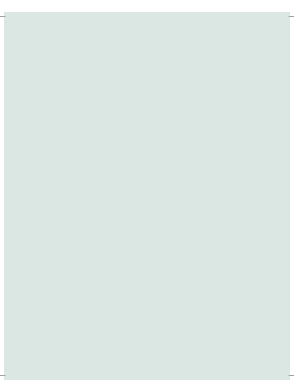Ţ 1